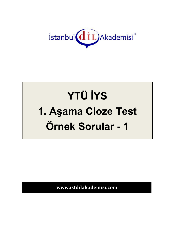

## **YTÜ İYS** 1. Aşama Cloze Test Örnek Sorular - 1

www.istdilakademisi.com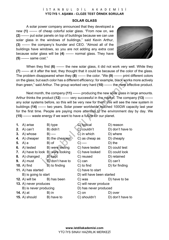## İSTANBUL DİL AKADEMİSİ **YTÜ İYS 1. AŞAMA - CLOZE TEST ÖRNEK SORULAR**

## **SOLAR GLASS**

A solar power company announced that they developed a new **(1)** ------- of cheap colorful solar glass. "From now on, we **(2)** ------- put solar panels on top of buildings because we can use solar glass in the windows of buildings," said Kevin Arthur, **(3)** ------- the company's founder and CEO. "Almost all of the buildings have windows, so you are not adding any extra cost because solar glass will be **(4)** ------- normal glass. They have **(5)** ------- same cost."



When they first **(6)** ------- the new solar glass, it did not work very well. While they **(7)** ------- at it after the test, they thought that it could be because of the color of the glass. The problem disappeared when they **(8)** ------- the color. "We **(9)** ------- print different colors on the glass; but each color has a different efficiency: for example, black works more actively than green," said Arthur. The group worked very hard **(10)** ------- the most effective product.

Next month, the company (11) ------- producing the new solar glass in large amounts. Arthur thinks the product **(12)** ------- very successful in the market. The company **(13)** ------ any solar systems before, so this will be very new for them. We will see the new system in buildings **(14)** ------- two years. Solar power worldwide reached 100GW capacity last year for the first time. People are paying more attention to the environment day by day. We **(15)** ------- waste energy if we want to have a future for our planet.

- **1.** A) arise B) type **C**) typical D) reason **2.** A) can't B) didn't C) couldn't D) don't have to **3.** A) whose B) ---- C) in which D) where **4.** A) cheaper B) the cheapest C) as cheap as D) cheaply **5.** A) a B) of C) ---- D) the **6.** A) tested B) were testing C) have tested D) could test **7.** A) have to look B) were looking C) have looked D) could look **8.** A) changed B) kept C) reused D) retained **9.** A) must **B**) don't have to C) can D) can't **10.** A) find B) to finding C) to find D) for finding **11.** A) has started **C**) have to start B) is going to start D) will have been started **12.** A) will be B) has been C) was D) have to be **13.** A) never produces C) will never produce B) is never producing D) has never produced **14.** A) at **B**) in **C**) on **D**) over
- **15.** A) should B) have to B Shouldn't D) don't have to
	-